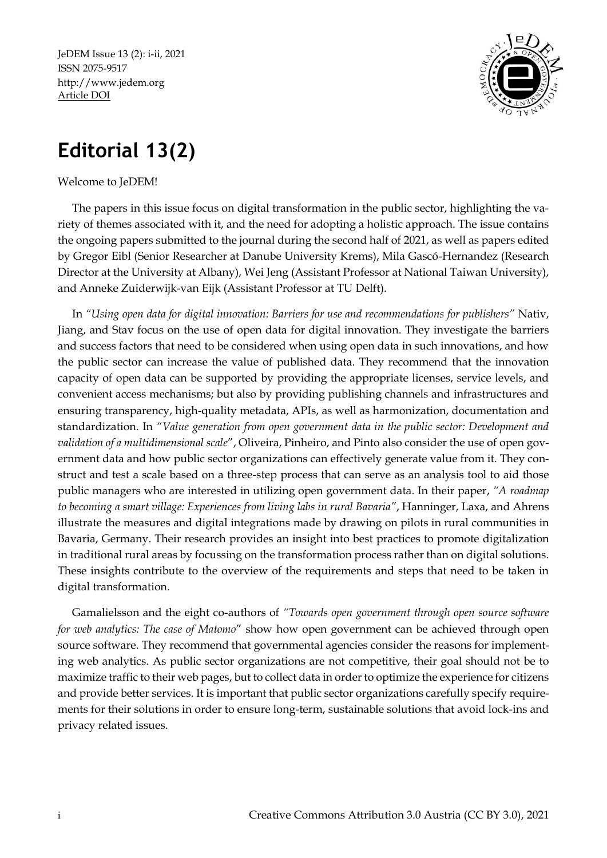JeDEM Issue 13 (2): i-ii, 2021 ISSN 2075-9517 [http://www.jedem.org](http://www.jedem.org/) Article DOI



## **Editorial 13(2)**

## Welcome to JeDEM!

The papers in this issue focus on digital transformation in the public sector, highlighting the variety of themes associated with it, and the need for adopting a holistic approach. The issue contains the ongoing papers submitted to the journal during the second half of 2021, as well as papers edited by Gregor Eibl (Senior Researcher at Danube University Krems), Mila Gascó-Hernandez (Research Director at the University at Albany), Wei Jeng (Assistant Professor at National Taiwan University), and Anneke Zuiderwijk-van Eijk (Assistant Professor at TU Delft).

In *"Using open data for digital innovation: Barriers for use and recommendations for publishers"* Nativ, Jiang, and Stav focus on the use of open data for digital innovation. They investigate the barriers and success factors that need to be considered when using open data in such innovations, and how the public sector can increase the value of published data. They recommend that the innovation capacity of open data can be supported by providing the appropriate licenses, service levels, and convenient access mechanisms; but also by providing publishing channels and infrastructures and ensuring transparency, high-quality metadata, APIs, as well as harmonization, documentation and standardization. In *"Value generation from open government data in the public sector: Development and validation of a multidimensional scale*", Oliveira, Pinheiro, and Pinto also consider the use of open government data and how public sector organizations can effectively generate value from it. They construct and test a scale based on a three-step process that can serve as an analysis tool to aid those public managers who are interested in utilizing open government data. In their paper, *"A roadmap to becoming a smart village: Experiences from living labs in rural Bavaria"*, Hanninger, Laxa, and Ahrens illustrate the measures and digital integrations made by drawing on pilots in rural communities in Bavaria, Germany. Their research provides an insight into best practices to promote digitalization in traditional rural areas by focussing on the transformation process rather than on digital solutions. These insights contribute to the overview of the requirements and steps that need to be taken in digital transformation.

Gamalielsson and the eight co-authors of *"Towards open government through open source software for web analytics: The case of Matomo*" show how open government can be achieved through open source software. They recommend that governmental agencies consider the reasons for implementing web analytics. As public sector organizations are not competitive, their goal should not be to maximize traffic to their web pages, but to collect data in order to optimize the experience for citizens and provide better services. It is important that public sector organizations carefully specify requirements for their solutions in order to ensure long-term, sustainable solutions that avoid lock-ins and privacy related issues.